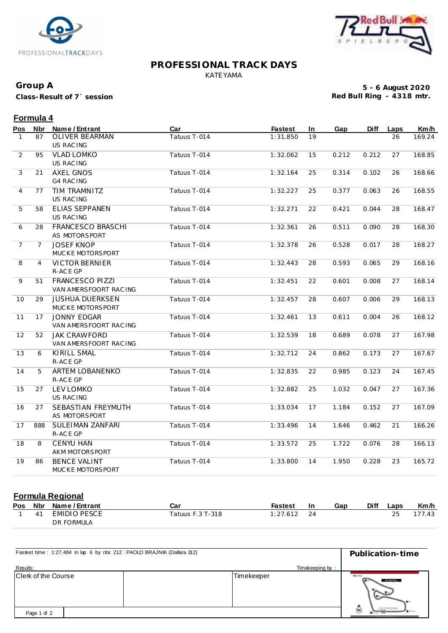



#### **PROFESSIONAL TRACK DAYS** KATEYAMA

## **Group A**

**Class-Result of 7` session**

**5 - 6 August 2020 Red Bull Ring - 4318 mtr.**

|                | Formula 4      |                                                  |              |                |    |       |             |      |        |  |
|----------------|----------------|--------------------------------------------------|--------------|----------------|----|-------|-------------|------|--------|--|
| Pos            | Nbr            | Name / Entrant                                   | Car          | <b>Fastest</b> | In | Gap   | <b>Diff</b> | Laps | Km/h   |  |
| $\mathbf{1}$   | 87             | OLIVER BEARMAN<br><b>US RAC ING</b>              | Tatuus T-014 | 1:31.850       | 19 |       |             | 26   | 169.24 |  |
| 2              | 95             | <b>VLAD LOMKO</b><br>US RAC ING                  | Tatuus T-014 | 1:32.062       | 15 | 0.212 | 0.212       | 27   | 168.85 |  |
| 3              | 21             | <b>AXEL GNOS</b><br><b>G4 RAC ING</b>            | Tatuus T-014 | 1:32.164       | 25 | 0.314 | 0.102       | 26   | 168.66 |  |
| $\overline{4}$ | 77             | TIM TRAMNITZ<br><b>US RACING</b>                 | Tatuus T-014 | 1:32.227       | 25 | 0.377 | 0.063       | 26   | 168.55 |  |
| 5              | 58             | ELIAS SEPPÄNEN<br><b>US RACING</b>               | Tatuus T-014 | 1:32.271       | 22 | 0.421 | 0.044       | 28   | 168.47 |  |
| 6              | 28             | FRANCESCO BRASCHI<br>AS MOTORSPORT               | Tatuus T-014 | 1:32.361       | 26 | 0.511 | 0.090       | 28   | 168.30 |  |
| 7              | $\overline{7}$ | <b>JOSEF KNOP</b><br>MUCKE MOTORSPORT            | Tatuus T-014 | 1:32.378       | 26 | 0.528 | 0.017       | 28   | 168.27 |  |
| 8              | $\overline{4}$ | <b>VICTOR BERNIER</b><br>R-ACE GP                | Tatuus T-014 | 1:32.443       | 28 | 0.593 | 0.065       | 29   | 168.16 |  |
| 9              | 51             | <b>FRANCESCO PIZZI</b><br>VAN AMERSFOORT RAC ING | Tatuus T-014 | 1:32.451       | 22 | 0.601 | 0.008       | 27   | 168.14 |  |
| 10             | 29             | <b>JUSHUA DUERKSEN</b><br>MUCKE MOTORSPORT       | Tatuus T-014 | 1:32.457       | 28 | 0.607 | 0.006       | 29   | 168.13 |  |
| 11             | 17             | <b>JONNY EDGAR</b><br>VAN AMERSFOORT RACING      | Tatuus T-014 | 1:32.461       | 13 | 0.611 | 0.004       | 26   | 168.12 |  |
| 12             | 52             | <b>JAK CRAWFORD</b><br>VAN AMERSFOORT RACING     | Tatuus T-014 | 1:32.539       | 18 | 0.689 | 0.078       | 27   | 167.98 |  |
| 13             | 6              | <b>KIRILL SMAL</b><br>R-ACE GP                   | Tatuus T-014 | 1:32.712       | 24 | 0.862 | 0.173       | 27   | 167.67 |  |
| 14             | 5              | <b>ARTEM LOBANENKO</b><br>R-ACE GP               | Tatuus T-014 | 1:32.835       | 22 | 0.985 | 0.123       | 24   | 167.45 |  |
| 15             | 27             | <b>LEV LOMKO</b><br><b>US RACING</b>             | Tatuus T-014 | 1:32.882       | 25 | 1.032 | 0.047       | 27   | 167.36 |  |
| 16             | 27             | SEBASTIAN FREYMUTH<br>AS MOTORSPORT              | Tatuus T-014 | 1:33.034       | 17 | 1.184 | 0.152       | 27   | 167.09 |  |
| 17             | 888            | SULEIMAN ZANFARI<br>R-ACE GP                     | Tatuus T-014 | 1:33.496       | 14 | 1.646 | 0.462       | 21   | 166.26 |  |
| 18             | 8              | <b>CENYU HAN</b><br>AKM MOTORSPORT               | Tatuus T-014 | 1:33.572       | 25 | 1.722 | 0.076       | 28   | 166.13 |  |
| 19             | 86             | <b>BENCE VALINT</b><br>MUCKE MOTORSPORT          | Tatuus T-014 | 1:33.800       | 14 | 1.950 | 0.228       | 23   | 165.72 |  |

## **Formula Regional**

|    | Pos Nbr Name/Entrant | Car              | Fastest       | -In | Gap | <b>Diff</b> | Laps | Km/h   |
|----|----------------------|------------------|---------------|-----|-----|-------------|------|--------|
| 41 | EMIDIO PESCE         | Tatuus F.3 T-318 | $1:27.612$ 24 |     |     |             |      | 177.43 |
|    | DR FORMULA           |                  |               |     |     |             |      |        |

| Fastest time: 1:27.484 in lap 6 by nbr. 212: PAOLO BRAJNIK (Dallara 312) | Publication-time |                                               |  |
|--------------------------------------------------------------------------|------------------|-----------------------------------------------|--|
| Results:                                                                 |                  |                                               |  |
| Clerk of the Course                                                      | Timekeeper       | C<br>Red Bull Ring<br>$B -$<br>$\blacksquare$ |  |
| Page 1 of 2                                                              |                  | $\bar{\bm{\odot}}$<br><b>B</b> ureau          |  |